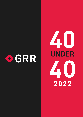

# UNDER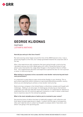



# **GEORGE KLIDONAS** PARTNER

LATHAM & WATKINS

#### **How did you end up in this line of work?**

My restructuring career began around the time of the 2008 financial crisis. I was a practicing litigator at the time, but I always gravitated towards the corporate side of the law.

After a few experiences with companies that were going through a restructuring, I decided to pursue my LLM in Bankruptcy at St John's University School of Law, where I also interned for the Judge Allan Gropper in the Southern District of New York. This supplemental education and experience opened the door for me to pursue a career in restructuring law.

## **What skillset is necessary to be a successful cross-border restructuring and insolvency practitioner?**

It is important to ways keep an open mind and be flexible in your thinking. This is particularly significant where insolvency is perceived differently by another country where you are attempting to achieve a cross-border restructuring.

Restructuring a company in the United States is oftentimes complex and fraught with challenges. Adding in an extra layer of challenge by introducing an international component can make the task that much more difficult. It is important for advisers to understand how non-US countries approach insolvency in order to better understand how to maximise value for the enterprise globally.

#### **What is the most valuable piece of advice you've received in your career?**

One practical piece of advice has been to habitually engage in self-reflection and think about my past experiences in depth. I conduct this this type of introspection often and I take the time to collect my thoughts to analyse where I have been, and where I am going in the upcoming year.